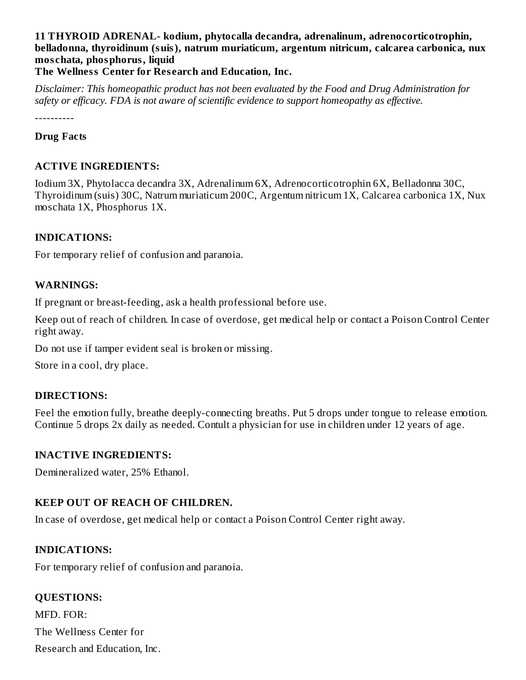# **11 THYROID ADRENAL- kodium, phytocalla decandra, adrenalinum, adrenocorticotrophin, belladonna, thyroidinum (suis), natrum muriaticum, argentum nitricum, calcarea carbonica, nux mos chata, phosphorus, liquid**

#### **The Wellness Center for Res earch and Education, Inc.**

*Disclaimer: This homeopathic product has not been evaluated by the Food and Drug Administration for safety or efficacy. FDA is not aware of scientific evidence to support homeopathy as effective.*

----------

#### **Drug Facts**

#### **ACTIVE INGREDIENTS:**

Iodium 3X, Phytolacca decandra 3X, Adrenalinum 6X, Adrenocorticotrophin 6X, Belladonna 30C, Thyroidinum (suis) 30C, Natrum muriaticum 200C, Argentum nitricum 1X, Calcarea carbonica 1X, Nux moschata 1X, Phosphorus 1X.

#### **INDICATIONS:**

For temporary relief of confusion and paranoia.

#### **WARNINGS:**

If pregnant or breast-feeding, ask a health professional before use.

Keep out of reach of children. In case of overdose, get medical help or contact a Poison Control Center right away.

Do not use if tamper evident seal is broken or missing.

Store in a cool, dry place.

# **DIRECTIONS:**

Feel the emotion fully, breathe deeply-connecting breaths. Put 5 drops under tongue to release emotion. Continue 5 drops 2x daily as needed. Contult a physician for use in children under 12 years of age.

# **INACTIVE INGREDIENTS:**

Demineralized water, 25% Ethanol.

# **KEEP OUT OF REACH OF CHILDREN.**

In case of overdose, get medical help or contact a Poison Control Center right away.

# **INDICATIONS:**

For temporary relief of confusion and paranoia.

# **QUESTIONS:**

MFD. FOR: The Wellness Center for Research and Education, Inc.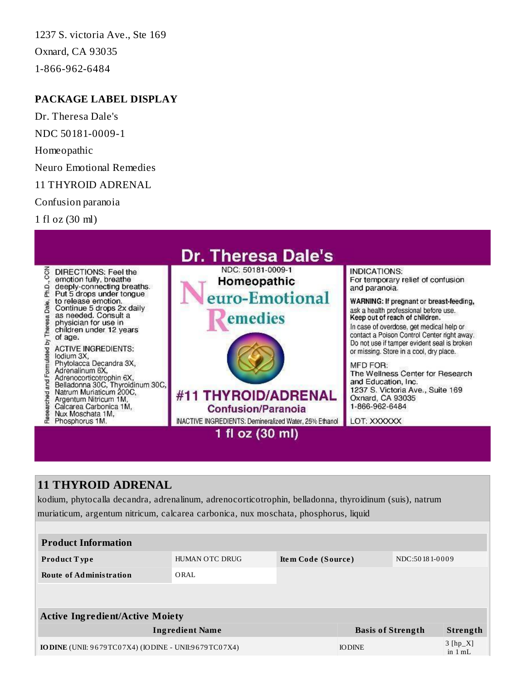1237 S. victoria Ave., Ste 169 Oxnard, CA 93035 1-866-962-6484

#### **PACKAGE LABEL DISPLAY**

Dr. Theresa Dale's

NDC 50181-0009-1

Homeopathic

Neuro Emotional Remedies

11 THYROID ADRENAL

Confusion paranoia

1 fl oz (30 ml)



# **11 THYROID ADRENAL**

kodium, phytocalla decandra, adrenalinum, adrenocorticotrophin, belladonna, thyroidinum (suis), natrum muriaticum, argentum nitricum, calcarea carbonica, nux moschata, phosphorus, liquid

| <b>Product Information</b>                                         |                       |                    |                          |                         |                 |  |  |  |  |
|--------------------------------------------------------------------|-----------------------|--------------------|--------------------------|-------------------------|-----------------|--|--|--|--|
| Product Type                                                       | <b>HUMAN OTC DRUG</b> | Item Code (Source) |                          | NDC:50181-0009          |                 |  |  |  |  |
| <b>Route of Administration</b>                                     | ORAL                  |                    |                          |                         |                 |  |  |  |  |
|                                                                    |                       |                    |                          |                         |                 |  |  |  |  |
| <b>Active Ingredient/Active Moiety</b>                             |                       |                    |                          |                         |                 |  |  |  |  |
| <b>Ingredient Name</b>                                             |                       |                    | <b>Basis of Strength</b> |                         | <b>Strength</b> |  |  |  |  |
| <b>IODINE</b> (UNII: $9679TCO7X4$ ) (IODINE - UNII: $9679TCO7X4$ ) |                       | <b>IODINE</b>      |                          | $3 [hp_X]$<br>in $1$ mL |                 |  |  |  |  |